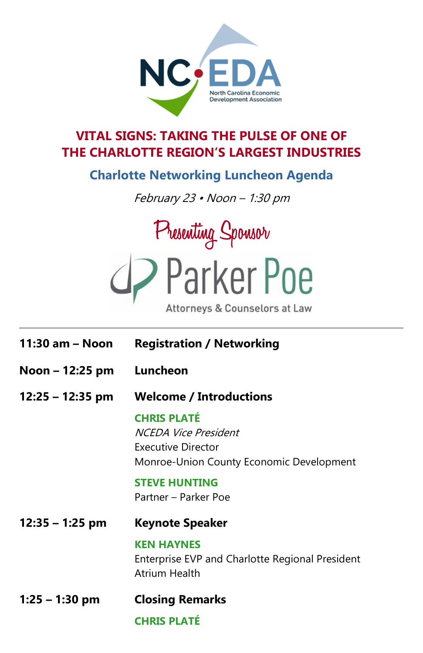

## **VITAL SIGNS: TAKING THE PULSE OF ONE OF THE CHARLOTTE REGION'S LARGEST INDUSTRIES**

## **Charlotte Networking Luncheon Agenda**

February 23 • Noon – 1:30 pm



| 11:30 am - Noon   | <b>Registration / Networking</b>                                                                             |
|-------------------|--------------------------------------------------------------------------------------------------------------|
| Noon – 12:25 pm   | Luncheon                                                                                                     |
| 12:25 – 12:35 pm  | <b>Welcome / Introductions</b>                                                                               |
|                   | <b>CHRIS PLATÉ</b><br>NCEDA Vice President<br>Executive Director<br>Monroe-Union County Economic Development |
|                   | <b>STEVE HUNTING</b><br>Partner – Parker Poe                                                                 |
| $12:35 - 1:25$ pm | <b>Keynote Speaker</b>                                                                                       |
|                   | <b>KEN HAYNES</b><br>Enterprise EVP and Charlotte Regional President<br><b>Atrium Health</b>                 |
| $1:25 - 1:30$ pm  | <b>Closing Remarks</b>                                                                                       |
|                   | <b>CHRIS PLATÉ</b>                                                                                           |